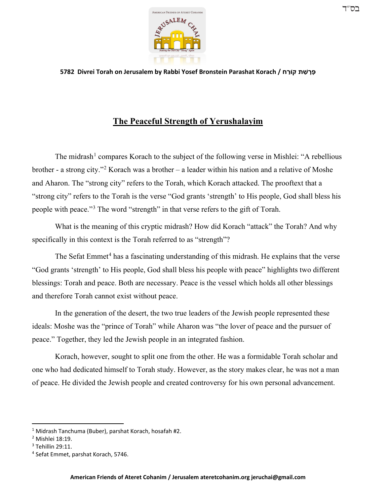

**5782 Divrei Torah on Jerusalem by Rabbi Yosef Bronstein Parashat Korach / ח ַקוֹר ת ַשׁ ָר ָפּ**

## **The Peaceful Strength of Yerushalayim**

The midrash<sup>[1](#page-0-0)</sup> compares Korach to the subject of the following verse in Mishlei: "A rebellious brother - a strong city."<sup>[2](#page-0-1)</sup> Korach was a brother – a leader within his nation and a relative of Moshe and Aharon. The "strong city" refers to the Torah, which Korach attacked. The prooftext that a "strong city" refers to the Torah is the verse "God grants 'strength' to His people, God shall bless his people with peace."[3](#page-0-2) The word "strength" in that verse refers to the gift of Torah.

What is the meaning of this cryptic midrash? How did Korach "attack" the Torah? And why specifically in this context is the Torah referred to as "strength"?

The Sefat Emmet<sup>[4](#page-0-3)</sup> has a fascinating understanding of this midrash. He explains that the verse "God grants 'strength' to His people, God shall bless his people with peace" highlights two different blessings: Torah and peace. Both are necessary. Peace is the vessel which holds all other blessings and therefore Torah cannot exist without peace.

In the generation of the desert, the two true leaders of the Jewish people represented these ideals: Moshe was the "prince of Torah" while Aharon was "the lover of peace and the pursuer of peace." Together, they led the Jewish people in an integrated fashion.

Korach, however, sought to split one from the other. He was a formidable Torah scholar and one who had dedicated himself to Torah study. However, as the story makes clear, he was not a man of peace. He divided the Jewish people and created controversy for his own personal advancement.

<span id="page-0-0"></span><sup>1</sup> Midrash Tanchuma (Buber), parshat Korach, hosafah #2.

<span id="page-0-1"></span><sup>2</sup> Mishlei 18:19.

<span id="page-0-2"></span><sup>3</sup> Tehillin 29:11.

<span id="page-0-3"></span><sup>4</sup> Sefat Emmet, parshat Korach, 5746.